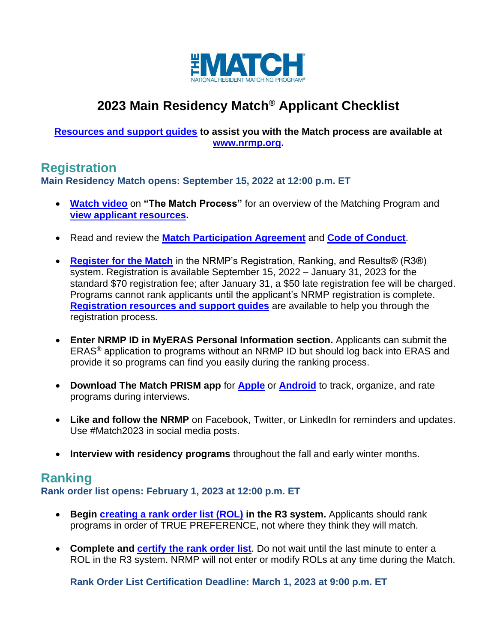

# **2023 Main Residency Match® Applicant Checklist**

#### **[Resources and support guides](https://www.nrmp.org/residency-applicants/) to assist you with the Match process are available at [www.nrmp.org.](file://///10.148.5.5/Shared/Communications/Website/Checklists/2023/www.nrmp.org)**

## **Registration**

**Main Residency Match opens: September 15, 2022 at 12:00 p.m. ET**

- **[Watch video](https://www.nrmp.org/residency-applicants/)** on **"The Match Process"** for an overview of the Matching Program and **[view applicant resources.](https://www.nrmp.org/residency-applicants/)**
- Read and review the **[Match Participation Agreement](https://www.nrmp.org/policies/)** and **[Code of Conduct](https://www.nrmp.org/intro-to-the-match/the-match-agreement/match-codes-of-conduct/)**.
- **[Register for the Match](https://r3.nrmp.org/viewLoginPage)** in the NRMP's Registration, Ranking, and Results® (R3®) system. Registration is available September 15, 2022 – January 31, 2023 for the standard \$70 registration fee; after January 31, a \$50 late registration fee will be charged. Programs cannot rank applicants until the applicant's NRMP registration is complete. **[Registration resources and support guides](https://www.nrmp.org/residency-applicants/get-ready-for-the-match/)** are available to help you through the registration process.
- **Enter NRMP ID in MyERAS Personal Information section.** Applicants can submit the ERAS® application to programs without an NRMP ID but should log back into ERAS and provide it so programs can find you easily during the ranking process.
- **Download The Match PRISM app** for **[Apple](https://itunes.apple.com/us/app/the-matchsm-prismsm/id687444845)** or **[Android](https://play.google.com/store/apps/details?id=com.masslight.nrmp)** to track, organize, and rate programs during interviews.
- **Like and follow the NRMP** on Facebook, Twitter, or LinkedIn for reminders and updates. Use #Match2023 in social media posts.
- **Interview with residency programs** throughout the fall and early winter months.

## **Ranking**

**Rank order list opens: February 1, 2023 at 12:00 p.m. ET**

- **Begin [creating a rank order list \(ROL\)](https://www.nrmp.org/residency-applicants/rank-your-programs-main/) in the R3 system.** Applicants should rank programs in order of TRUE PREFERENCE, not where they think they will match.
- **Complete and [certify the rank order list](https://www.nrmp.org/help/item/how-do-i-know-that-my-rank-order-list-is-certified-and-i-am-ready-for-the-match/)**. Do not wait until the last minute to enter a ROL in the R3 system. NRMP will not enter or modify ROLs at any time during the Match.

**Rank Order List Certification Deadline: March 1, 2023 at 9:00 p.m. ET**